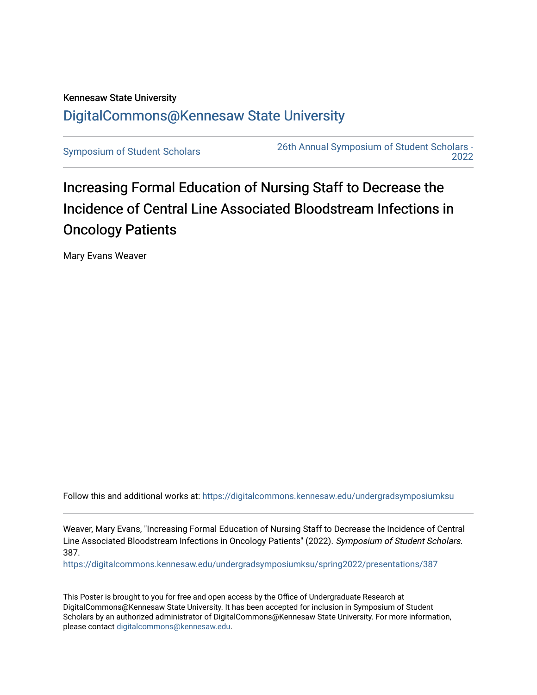## Kennesaw State University [DigitalCommons@Kennesaw State University](https://digitalcommons.kennesaw.edu/)

[Symposium of Student Scholars](https://digitalcommons.kennesaw.edu/undergradsymposiumksu) [26th Annual Symposium of Student Scholars -](https://digitalcommons.kennesaw.edu/undergradsymposiumksu/spring2022)  [2022](https://digitalcommons.kennesaw.edu/undergradsymposiumksu/spring2022) 

## Increasing Formal Education of Nursing Staff to Decrease the Incidence of Central Line Associated Bloodstream Infections in Oncology Patients

Mary Evans Weaver

Follow this and additional works at: [https://digitalcommons.kennesaw.edu/undergradsymposiumksu](https://digitalcommons.kennesaw.edu/undergradsymposiumksu?utm_source=digitalcommons.kennesaw.edu%2Fundergradsymposiumksu%2Fspring2022%2Fpresentations%2F387&utm_medium=PDF&utm_campaign=PDFCoverPages) 

Weaver, Mary Evans, "Increasing Formal Education of Nursing Staff to Decrease the Incidence of Central Line Associated Bloodstream Infections in Oncology Patients" (2022). Symposium of Student Scholars. 387.

[https://digitalcommons.kennesaw.edu/undergradsymposiumksu/spring2022/presentations/387](https://digitalcommons.kennesaw.edu/undergradsymposiumksu/spring2022/presentations/387?utm_source=digitalcommons.kennesaw.edu%2Fundergradsymposiumksu%2Fspring2022%2Fpresentations%2F387&utm_medium=PDF&utm_campaign=PDFCoverPages)

This Poster is brought to you for free and open access by the Office of Undergraduate Research at DigitalCommons@Kennesaw State University. It has been accepted for inclusion in Symposium of Student Scholars by an authorized administrator of DigitalCommons@Kennesaw State University. For more information, please contact [digitalcommons@kennesaw.edu.](mailto:digitalcommons@kennesaw.edu)